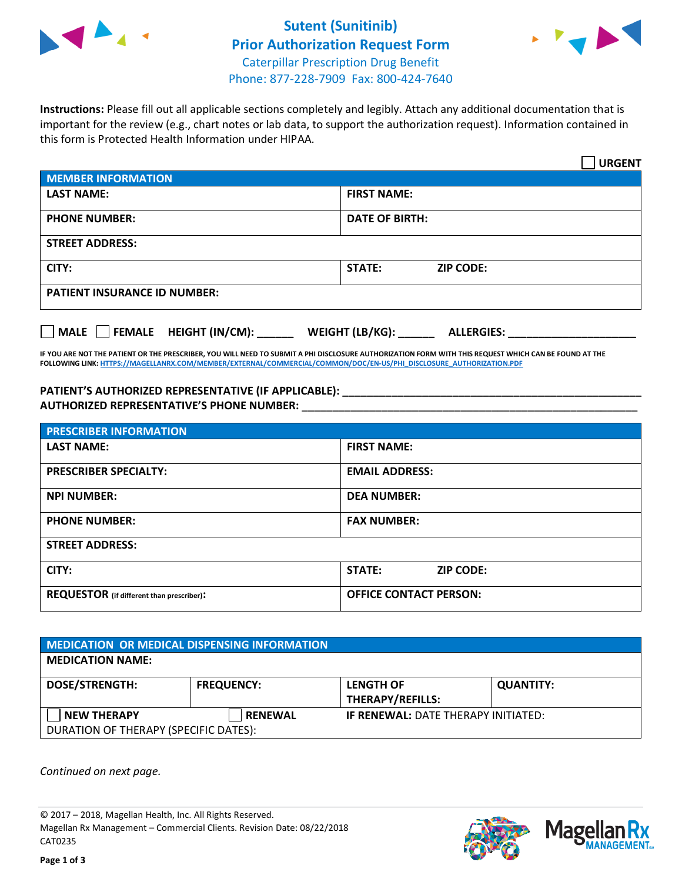

## **Sutent (Sunitinib) Prior Authorization Request Form** Caterpillar Prescription Drug Benefit Phone: 877-228-7909 Fax: 800-424-7640



**Instructions:** Please fill out all applicable sections completely and legibly. Attach any additional documentation that is important for the review (e.g., chart notes or lab data, to support the authorization request). Information contained in this form is Protected Health Information under HIPAA.

|                                       | <b>URGENT</b>                        |  |
|---------------------------------------|--------------------------------------|--|
| <b>MEMBER INFORMATION</b>             |                                      |  |
| <b>LAST NAME:</b>                     | <b>FIRST NAME:</b>                   |  |
| <b>PHONE NUMBER:</b>                  | <b>DATE OF BIRTH:</b>                |  |
| <b>STREET ADDRESS:</b>                |                                      |  |
| CITY:                                 | <b>STATE:</b><br><b>ZIP CODE:</b>    |  |
| <b>PATIENT INSURANCE ID NUMBER:</b>   |                                      |  |
| FEMALE HEIGHT (IN/CM):<br><b>MALE</b> | WEIGHT (LB/KG):<br><b>ALLERGIES:</b> |  |

**IF YOU ARE NOT THE PATIENT OR THE PRESCRIBER, YOU WILL NEED TO SUBMIT A PHI DISCLOSURE AUTHORIZATION FORM WITH THIS REQUEST WHICH CAN BE FOUND AT THE FOLLOWING LINK[: HTTPS://MAGELLANRX.COM/MEMBER/EXTERNAL/COMMERCIAL/COMMON/DOC/EN-US/PHI\\_DISCLOSURE\\_AUTHORIZATION.PDF](https://magellanrx.com/member/external/commercial/common/doc/en-us/PHI_Disclosure_Authorization.pdf)**

**PATIENT'S AUTHORIZED REPRESENTATIVE (IF APPLICABLE): \_\_\_\_\_\_\_\_\_\_\_\_\_\_\_\_\_\_\_\_\_\_\_\_\_\_\_\_\_\_\_\_\_\_\_\_\_\_\_\_\_\_\_\_\_\_\_\_\_ AUTHORIZED REPRESENTATIVE'S PHONE NUMBER:** \_\_\_\_\_\_\_\_\_\_\_\_\_\_\_\_\_\_\_\_\_\_\_\_\_\_\_\_\_\_\_\_\_\_\_\_\_\_\_\_\_\_\_\_\_\_\_\_\_\_\_\_\_\_\_

| <b>PRESCRIBER INFORMATION</b>             |                               |  |  |  |
|-------------------------------------------|-------------------------------|--|--|--|
| <b>LAST NAME:</b>                         | <b>FIRST NAME:</b>            |  |  |  |
| <b>PRESCRIBER SPECIALTY:</b>              | <b>EMAIL ADDRESS:</b>         |  |  |  |
| <b>NPI NUMBER:</b>                        | <b>DEA NUMBER:</b>            |  |  |  |
| <b>PHONE NUMBER:</b>                      | <b>FAX NUMBER:</b>            |  |  |  |
| <b>STREET ADDRESS:</b>                    |                               |  |  |  |
| CITY:                                     | STATE:<br><b>ZIP CODE:</b>    |  |  |  |
| REQUESTOR (if different than prescriber): | <b>OFFICE CONTACT PERSON:</b> |  |  |  |

| <b>MEDICATION OR MEDICAL DISPENSING INFORMATION</b> |                   |                                            |                  |  |  |
|-----------------------------------------------------|-------------------|--------------------------------------------|------------------|--|--|
| <b>MEDICATION NAME:</b>                             |                   |                                            |                  |  |  |
| <b>DOSE/STRENGTH:</b>                               | <b>FREQUENCY:</b> | <b>LENGTH OF</b>                           | <b>QUANTITY:</b> |  |  |
|                                                     |                   | <b>THERAPY/REFILLS:</b>                    |                  |  |  |
| <b>NEW THERAPY</b>                                  | <b>RENEWAL</b>    | <b>IF RENEWAL: DATE THERAPY INITIATED:</b> |                  |  |  |
| DURATION OF THERAPY (SPECIFIC DATES):               |                   |                                            |                  |  |  |

*Continued on next page.*

© 2017 – 2018, Magellan Health, Inc. All Rights Reserved. Magellan Rx Management – Commercial Clients. Revision Date: 08/22/2018 CAT0235



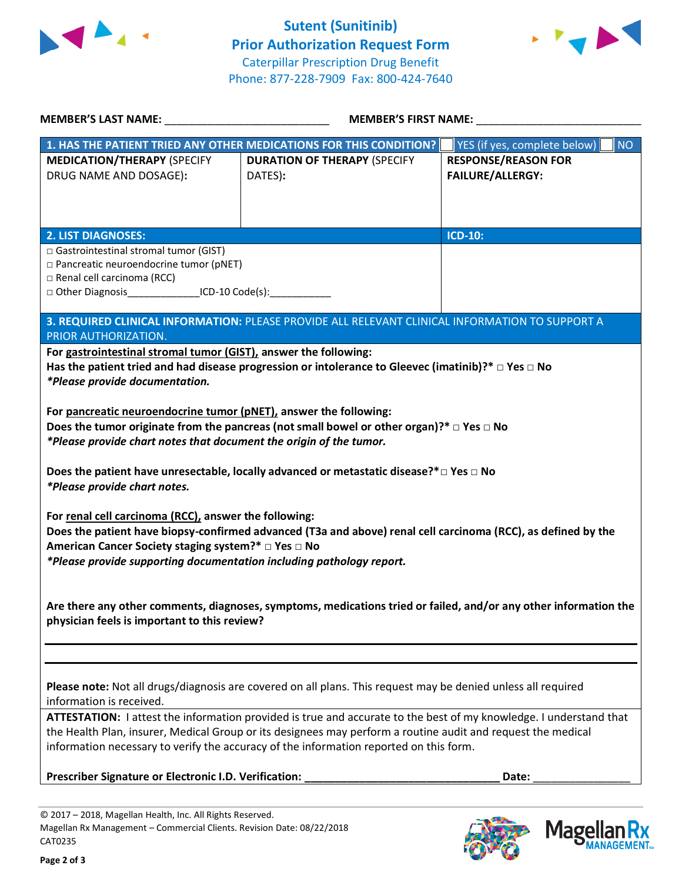



| <b>MEMBER'S LAST NAME:</b> NAME                                                                                                                                                                                                                                                                                                                                                                                                                                                                                                                                    | <b>MEMBER'S FIRST NAME:</b>                                                                                   |                                                       |  |  |
|--------------------------------------------------------------------------------------------------------------------------------------------------------------------------------------------------------------------------------------------------------------------------------------------------------------------------------------------------------------------------------------------------------------------------------------------------------------------------------------------------------------------------------------------------------------------|---------------------------------------------------------------------------------------------------------------|-------------------------------------------------------|--|--|
|                                                                                                                                                                                                                                                                                                                                                                                                                                                                                                                                                                    | 1. HAS THE PATIENT TRIED ANY OTHER MEDICATIONS FOR THIS CONDITION?                                            | YES (if yes, complete below)<br>NO                    |  |  |
| <b>MEDICATION/THERAPY (SPECIFY</b><br>DRUG NAME AND DOSAGE):                                                                                                                                                                                                                                                                                                                                                                                                                                                                                                       | <b>DURATION OF THERAPY (SPECIFY</b><br>DATES):                                                                | <b>RESPONSE/REASON FOR</b><br><b>FAILURE/ALLERGY:</b> |  |  |
|                                                                                                                                                                                                                                                                                                                                                                                                                                                                                                                                                                    |                                                                                                               |                                                       |  |  |
|                                                                                                                                                                                                                                                                                                                                                                                                                                                                                                                                                                    |                                                                                                               |                                                       |  |  |
| <b>2. LIST DIAGNOSES:</b>                                                                                                                                                                                                                                                                                                                                                                                                                                                                                                                                          |                                                                                                               | <b>ICD-10:</b>                                        |  |  |
| □ Gastrointestinal stromal tumor (GIST)                                                                                                                                                                                                                                                                                                                                                                                                                                                                                                                            |                                                                                                               |                                                       |  |  |
| □ Pancreatic neuroendocrine tumor (pNET)<br>$\Box$ Renal cell carcinoma (RCC)                                                                                                                                                                                                                                                                                                                                                                                                                                                                                      |                                                                                                               |                                                       |  |  |
| □ Other Diagnosis_____________________ICD-10 Code(s):__________________________                                                                                                                                                                                                                                                                                                                                                                                                                                                                                    |                                                                                                               |                                                       |  |  |
|                                                                                                                                                                                                                                                                                                                                                                                                                                                                                                                                                                    | 3. REQUIRED CLINICAL INFORMATION: PLEASE PROVIDE ALL RELEVANT CLINICAL INFORMATION TO SUPPORT A               |                                                       |  |  |
| PRIOR AUTHORIZATION.                                                                                                                                                                                                                                                                                                                                                                                                                                                                                                                                               |                                                                                                               |                                                       |  |  |
| For gastrointestinal stromal tumor (GIST), answer the following:                                                                                                                                                                                                                                                                                                                                                                                                                                                                                                   | Has the patient tried and had disease progression or intolerance to Gleevec (imatinib)?* $\Box$ Yes $\Box$ No |                                                       |  |  |
| *Please provide documentation.                                                                                                                                                                                                                                                                                                                                                                                                                                                                                                                                     |                                                                                                               |                                                       |  |  |
| For pancreatic neuroendocrine tumor (pNET), answer the following:<br>Does the tumor originate from the pancreas (not small bowel or other organ)?* $\Box$ Yes $\Box$ No<br>*Please provide chart notes that document the origin of the tumor.<br>Does the patient have unresectable, locally advanced or metastatic disease?* $\square$ Yes $\square$ No<br>*Please provide chart notes.<br>For renal cell carcinoma (RCC), answer the following:<br>Does the patient have biopsy-confirmed advanced (T3a and above) renal cell carcinoma (RCC), as defined by the |                                                                                                               |                                                       |  |  |
| American Cancer Society staging system?* □ Yes □ No<br>*Please provide supporting documentation including pathology report.                                                                                                                                                                                                                                                                                                                                                                                                                                        |                                                                                                               |                                                       |  |  |
| Are there any other comments, diagnoses, symptoms, medications tried or failed, and/or any other information the<br>physician feels is important to this review?                                                                                                                                                                                                                                                                                                                                                                                                   |                                                                                                               |                                                       |  |  |
|                                                                                                                                                                                                                                                                                                                                                                                                                                                                                                                                                                    |                                                                                                               |                                                       |  |  |
| Please note: Not all drugs/diagnosis are covered on all plans. This request may be denied unless all required<br>information is received.                                                                                                                                                                                                                                                                                                                                                                                                                          |                                                                                                               |                                                       |  |  |
| ATTESTATION: I attest the information provided is true and accurate to the best of my knowledge. I understand that<br>the Health Plan, insurer, Medical Group or its designees may perform a routine audit and request the medical<br>information necessary to verify the accuracy of the information reported on this form.                                                                                                                                                                                                                                       |                                                                                                               |                                                       |  |  |
| Prescriber Signature or Electronic I.D. Verification:<br>Date:                                                                                                                                                                                                                                                                                                                                                                                                                                                                                                     |                                                                                                               |                                                       |  |  |
|                                                                                                                                                                                                                                                                                                                                                                                                                                                                                                                                                                    |                                                                                                               |                                                       |  |  |

© 2017 – 2018, Magellan Health, Inc. All Rights Reserved. Magellan Rx Management – Commercial Clients. Revision Date: 08/22/2018 CAT0235



**Mage** 

**Ilan Rx<br>ANAGEMENT.**